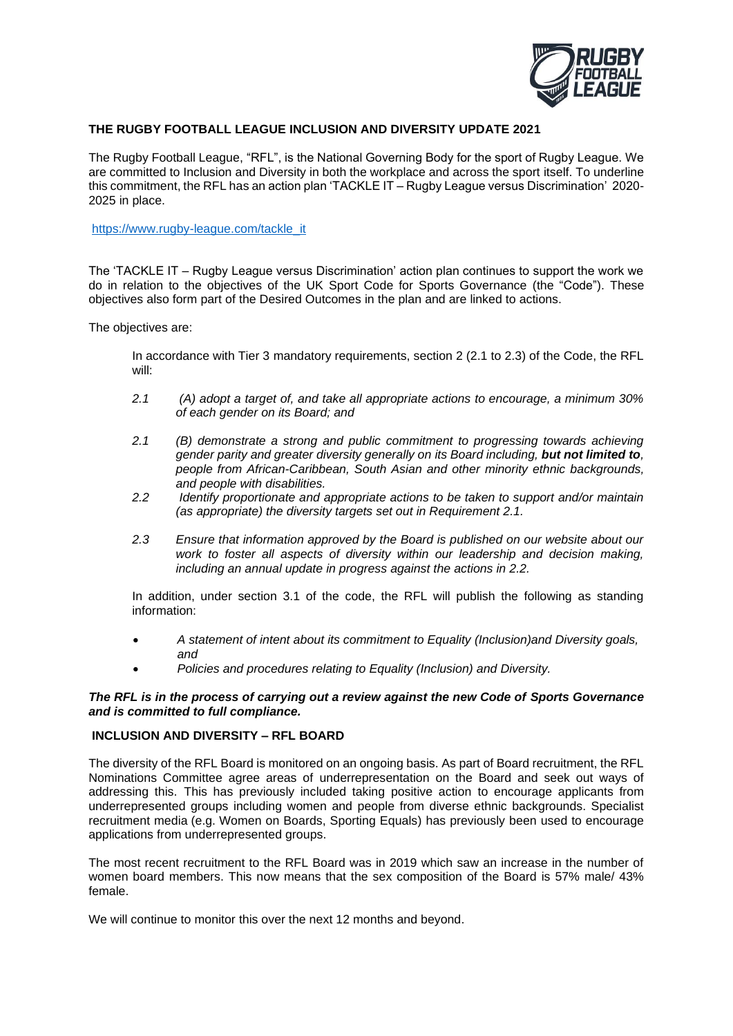

# **THE RUGBY FOOTBALL LEAGUE INCLUSION AND DIVERSITY UPDATE 2021**

The Rugby Football League, "RFL", is the National Governing Body for the sport of Rugby League. We are committed to Inclusion and Diversity in both the workplace and across the sport itself. To underline this commitment, the RFL has an action plan 'TACKLE IT – Rugby League versus Discrimination' 2020- 2025 in place.

[https://www.rugby-league.com/tackle\\_it](https://www.rugby-league.com/tackle_it)

The 'TACKLE IT – Rugby League versus Discrimination' action plan continues to support the work we do in relation to the objectives of the UK Sport Code for Sports Governance (the "Code"). These objectives also form part of the Desired Outcomes in the plan and are linked to actions.

The objectives are:

In accordance with Tier 3 mandatory requirements, section 2 (2.1 to 2.3) of the Code, the RFL will:

- *2.1 (A) adopt a target of, and take all appropriate actions to encourage, a minimum 30% of each gender on its Board; and*
- *2.1 (B) demonstrate a strong and public commitment to progressing towards achieving gender parity and greater diversity generally on its Board including, but not limited to, people from African-Caribbean, South Asian and other minority ethnic backgrounds, and people with disabilities.*
- *2.2 Identify proportionate and appropriate actions to be taken to support and/or maintain (as appropriate) the diversity targets set out in Requirement 2.1.*
- *2.3 Ensure that information approved by the Board is published on our website about our work to foster all aspects of diversity within our leadership and decision making, including an annual update in progress against the actions in 2.2.*

In addition, under section 3.1 of the code, the RFL will publish the following as standing information:

- *A statement of intent about its commitment to Equality (Inclusion)and Diversity goals, and*
- *Policies and procedures relating to Equality (Inclusion) and Diversity.*

## *The RFL is in the process of carrying out a review against the new Code of Sports Governance and is committed to full compliance.*

#### **INCLUSION AND DIVERSITY – RFL BOARD**

The diversity of the RFL Board is monitored on an ongoing basis. As part of Board recruitment, the RFL Nominations Committee agree areas of underrepresentation on the Board and seek out ways of addressing this. This has previously included taking positive action to encourage applicants from underrepresented groups including women and people from diverse ethnic backgrounds. Specialist recruitment media (e.g. Women on Boards, Sporting Equals) has previously been used to encourage applications from underrepresented groups.

The most recent recruitment to the RFL Board was in 2019 which saw an increase in the number of women board members. This now means that the sex composition of the Board is 57% male/ 43% female.

We will continue to monitor this over the next 12 months and beyond.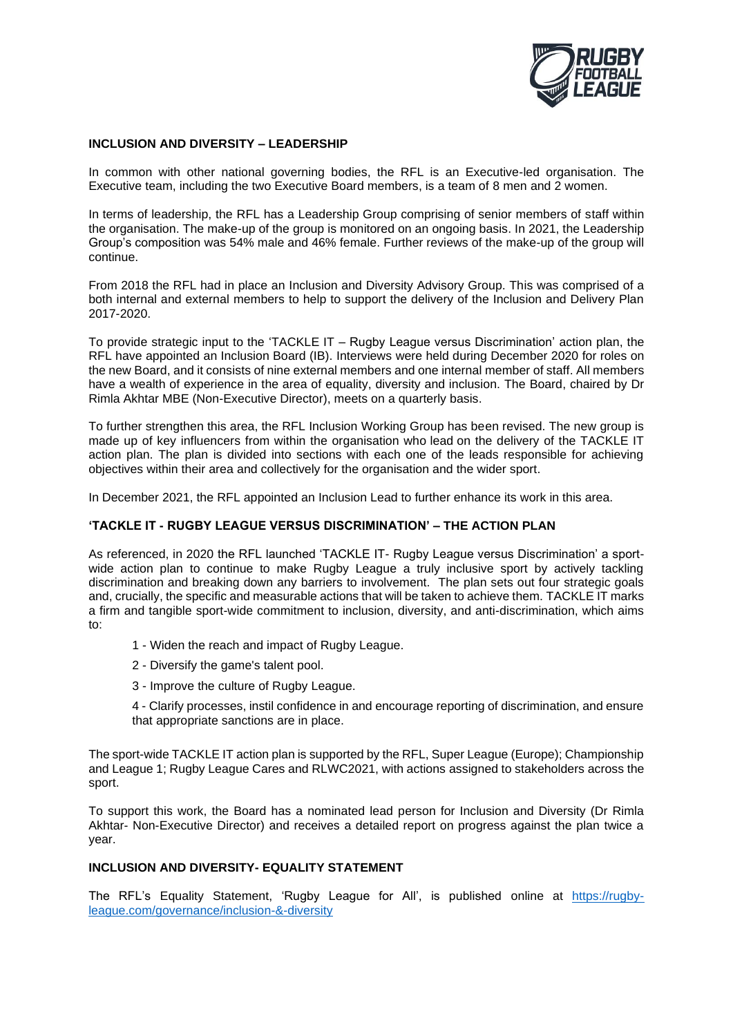

#### **INCLUSION AND DIVERSITY – LEADERSHIP**

In common with other national governing bodies, the RFL is an Executive-led organisation. The Executive team, including the two Executive Board members, is a team of 8 men and 2 women.

In terms of leadership, the RFL has a Leadership Group comprising of senior members of staff within the organisation. The make-up of the group is monitored on an ongoing basis. In 2021, the Leadership Group's composition was 54% male and 46% female. Further reviews of the make-up of the group will continue.

From 2018 the RFL had in place an Inclusion and Diversity Advisory Group. This was comprised of a both internal and external members to help to support the delivery of the Inclusion and Delivery Plan 2017-2020.

To provide strategic input to the 'TACKLE IT – Rugby League versus Discrimination' action plan, the RFL have appointed an Inclusion Board (IB). Interviews were held during December 2020 for roles on the new Board, and it consists of nine external members and one internal member of staff. All members have a wealth of experience in the area of equality, diversity and inclusion. The Board, chaired by Dr Rimla Akhtar MBE (Non-Executive Director), meets on a quarterly basis.

To further strengthen this area, the RFL Inclusion Working Group has been revised. The new group is made up of key influencers from within the organisation who lead on the delivery of the TACKLE IT action plan. The plan is divided into sections with each one of the leads responsible for achieving objectives within their area and collectively for the organisation and the wider sport.

In December 2021, the RFL appointed an Inclusion Lead to further enhance its work in this area.

# **'TACKLE IT - RUGBY LEAGUE VERSUS DISCRIMINATION' – THE ACTION PLAN**

As referenced, in 2020 the RFL launched 'TACKLE IT- Rugby League versus Discrimination' a sportwide action plan to continue to make Rugby League a truly inclusive sport by actively tackling discrimination and breaking down any barriers to involvement. The plan sets out four strategic goals and, crucially, the specific and measurable actions that will be taken to achieve them. TACKLE IT marks a firm and tangible sport-wide commitment to inclusion, diversity, and anti-discrimination, which aims to:

- 1 Widen the reach and impact of Rugby League.
- 2 Diversify the game's talent pool.
- 3 Improve the culture of Rugby League.

4 - Clarify processes, instil confidence in and encourage reporting of discrimination, and ensure that appropriate sanctions are in place.

The sport-wide TACKLE IT action plan is supported by the RFL, Super League (Europe); Championship and League 1; Rugby League Cares and RLWC2021, with actions assigned to stakeholders across the sport.

To support this work, the Board has a nominated lead person for Inclusion and Diversity (Dr Rimla Akhtar- Non-Executive Director) and receives a detailed report on progress against the plan twice a year.

# **INCLUSION AND DIVERSITY- EQUALITY STATEMENT**

The RFL's Equality Statement, 'Rugby League for All', is published online at [https://rugby](https://rugby-league.com/governance/inclusion-&-diversity)[league.com/governance/inclusion-&-diversity](https://rugby-league.com/governance/inclusion-&-diversity)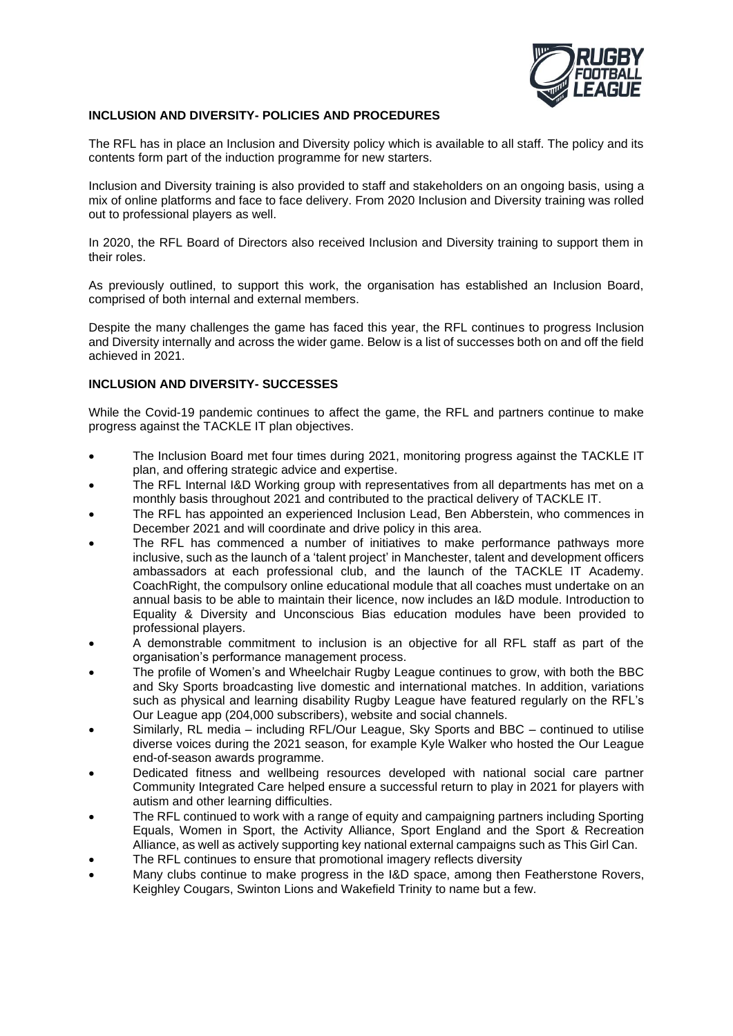

## **INCLUSION AND DIVERSITY- POLICIES AND PROCEDURES**

The RFL has in place an Inclusion and Diversity policy which is available to all staff. The policy and its contents form part of the induction programme for new starters.

Inclusion and Diversity training is also provided to staff and stakeholders on an ongoing basis, using a mix of online platforms and face to face delivery. From 2020 Inclusion and Diversity training was rolled out to professional players as well.

In 2020, the RFL Board of Directors also received Inclusion and Diversity training to support them in their roles.

As previously outlined, to support this work, the organisation has established an Inclusion Board, comprised of both internal and external members.

Despite the many challenges the game has faced this year, the RFL continues to progress Inclusion and Diversity internally and across the wider game. Below is a list of successes both on and off the field achieved in 2021.

## **INCLUSION AND DIVERSITY- SUCCESSES**

While the Covid-19 pandemic continues to affect the game, the RFL and partners continue to make progress against the TACKLE IT plan objectives.

- The Inclusion Board met four times during 2021, monitoring progress against the TACKLE IT plan, and offering strategic advice and expertise.
- The RFL Internal I&D Working group with representatives from all departments has met on a monthly basis throughout 2021 and contributed to the practical delivery of TACKLE IT.
- The RFL has appointed an experienced Inclusion Lead, Ben Abberstein, who commences in December 2021 and will coordinate and drive policy in this area.
- The RFL has commenced a number of initiatives to make performance pathways more inclusive, such as the launch of a 'talent project' in Manchester, talent and development officers ambassadors at each professional club, and the launch of the TACKLE IT Academy. CoachRight, the compulsory online educational module that all coaches must undertake on an annual basis to be able to maintain their licence, now includes an I&D module. Introduction to Equality & Diversity and Unconscious Bias education modules have been provided to professional players.
- A demonstrable commitment to inclusion is an objective for all RFL staff as part of the organisation's performance management process.
- The profile of Women's and Wheelchair Rugby League continues to grow, with both the BBC and Sky Sports broadcasting live domestic and international matches. In addition, variations such as physical and learning disability Rugby League have featured regularly on the RFL's Our League app (204,000 subscribers), website and social channels.
- Similarly, RL media including RFL/Our League, Sky Sports and BBC continued to utilise diverse voices during the 2021 season, for example Kyle Walker who hosted the Our League end-of-season awards programme.
- Dedicated fitness and wellbeing resources developed with national social care partner Community Integrated Care helped ensure a successful return to play in 2021 for players with autism and other learning difficulties.
- The RFL continued to work with a range of equity and campaigning partners including Sporting Equals, Women in Sport, the Activity Alliance, Sport England and the Sport & Recreation Alliance, as well as actively supporting key national external campaigns such as This Girl Can.
- The RFL continues to ensure that promotional imagery reflects diversity
- Many clubs continue to make progress in the I&D space, among then Featherstone Rovers, Keighley Cougars, Swinton Lions and Wakefield Trinity to name but a few.